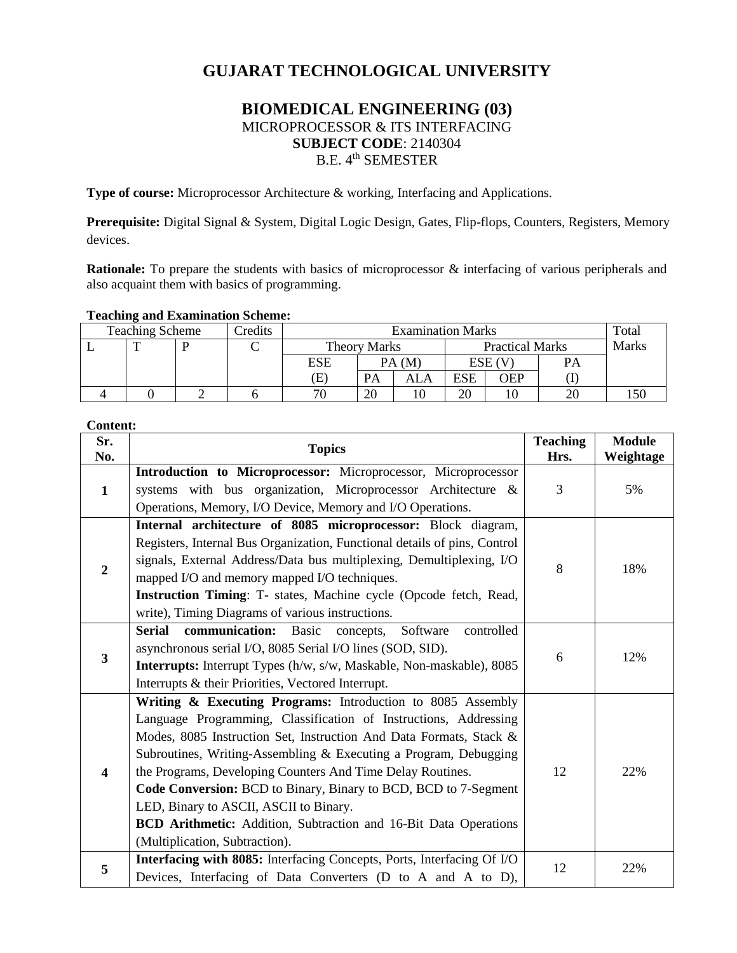# **GUJARAT TECHNOLOGICAL UNIVERSITY**

# **BIOMEDICAL ENGINEERING (03)** MICROPROCESSOR & ITS INTERFACING **SUBJECT CODE**: 2140304 B.E. 4<sup>th</sup> SEMESTER

**Type of course:** Microprocessor Architecture & working, Interfacing and Applications.

**Prerequisite:** Digital Signal & System, Digital Logic Design, Gates, Flip-flops, Counters, Registers, Memory devices.

**Rationale:** To prepare the students with basics of microprocessor & interfacing of various peripherals and also acquaint them with basics of programming.

#### **Teaching and Examination Scheme:**

| <b>Teaching Scheme</b><br><b>Predits</b> |  |  | <b>Examination Marks</b> |                     |    |                        |            | Total  |       |  |
|------------------------------------------|--|--|--------------------------|---------------------|----|------------------------|------------|--------|-------|--|
|                                          |  |  |                          | <b>Theory Marks</b> |    | <b>Practical Marks</b> |            |        | Marks |  |
|                                          |  |  |                          | ESE                 |    | PA(M)                  |            | ESE (V | PА    |  |
|                                          |  |  |                          | Œ                   | PA | ALA                    | <b>ESE</b> | OEP    |       |  |
|                                          |  |  |                          | 70                  | 20 |                        | 20         |        | 20    |  |

## **Content:**

| Sr.                     | <b>Topics</b>                                                                                                                                                                                                                                                                                                                                                                                                                                                                                                                                              | <b>Teaching</b> | <b>Module</b> |
|-------------------------|------------------------------------------------------------------------------------------------------------------------------------------------------------------------------------------------------------------------------------------------------------------------------------------------------------------------------------------------------------------------------------------------------------------------------------------------------------------------------------------------------------------------------------------------------------|-----------------|---------------|
| No.                     |                                                                                                                                                                                                                                                                                                                                                                                                                                                                                                                                                            | Hrs.            | Weightage     |
| 1                       | Introduction to Microprocessor: Microprocessor, Microprocessor<br>systems with bus organization, Microprocessor Architecture &<br>Operations, Memory, I/O Device, Memory and I/O Operations.                                                                                                                                                                                                                                                                                                                                                               | 3               | 5%            |
| $\overline{2}$          | Internal architecture of 8085 microprocessor: Block diagram,<br>Registers, Internal Bus Organization, Functional details of pins, Control<br>signals, External Address/Data bus multiplexing, Demultiplexing, I/O<br>mapped I/O and memory mapped I/O techniques.<br>Instruction Timing: T- states, Machine cycle (Opcode fetch, Read,<br>write), Timing Diagrams of various instructions.                                                                                                                                                                 | 8               | 18%           |
| $\overline{\mathbf{3}}$ | communication: Basic<br><b>Serial</b><br>concepts, Software<br>controlled<br>asynchronous serial I/O, 8085 Serial I/O lines (SOD, SID).<br><b>Interrupts:</b> Interrupt Types (h/w, s/w, Maskable, Non-maskable), 8085<br>Interrupts & their Priorities, Vectored Interrupt.                                                                                                                                                                                                                                                                               | 6               | 12%           |
| $\overline{\mathbf{4}}$ | Writing & Executing Programs: Introduction to 8085 Assembly<br>Language Programming, Classification of Instructions, Addressing<br>Modes, 8085 Instruction Set, Instruction And Data Formats, Stack &<br>Subroutines, Writing-Assembling & Executing a Program, Debugging<br>the Programs, Developing Counters And Time Delay Routines.<br>Code Conversion: BCD to Binary, Binary to BCD, BCD to 7-Segment<br>LED, Binary to ASCII, ASCII to Binary.<br>BCD Arithmetic: Addition, Subtraction and 16-Bit Data Operations<br>(Multiplication, Subtraction). | 12              | 22%           |
| 5                       | Interfacing with 8085: Interfacing Concepts, Ports, Interfacing Of I/O<br>Devices, Interfacing of Data Converters (D to A and A to D),                                                                                                                                                                                                                                                                                                                                                                                                                     | 12              | 22%           |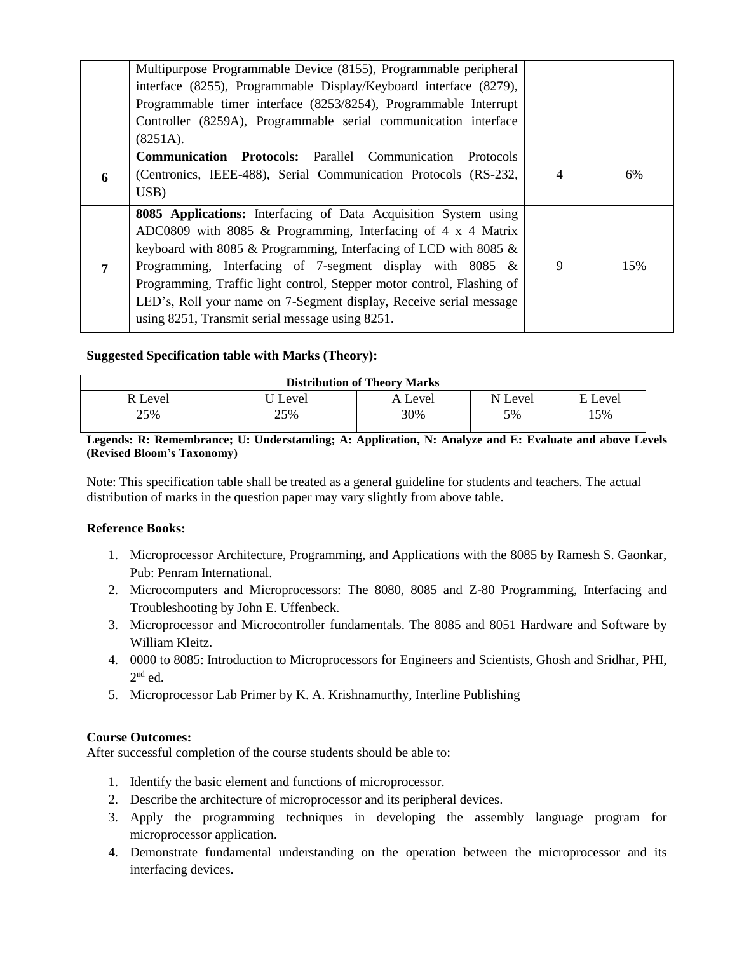|                | Multipurpose Programmable Device (8155), Programmable peripheral<br>interface (8255), Programmable Display/Keyboard interface (8279),<br>Programmable timer interface (8253/8254), Programmable Interrupt<br>Controller (8259A), Programmable serial communication interface<br>(8251A).                                                                                                                                                                                      |   |     |
|----------------|-------------------------------------------------------------------------------------------------------------------------------------------------------------------------------------------------------------------------------------------------------------------------------------------------------------------------------------------------------------------------------------------------------------------------------------------------------------------------------|---|-----|
| 6              | <b>Communication Protocols:</b> Parallel Communication<br><b>Protocols</b><br>(Centronics, IEEE-488), Serial Communication Protocols (RS-232,<br>USB)                                                                                                                                                                                                                                                                                                                         | 4 | 6%  |
| $\overline{7}$ | 8085 Applications: Interfacing of Data Acquisition System using<br>ADC0809 with 8085 $\&$ Programming, Interfacing of 4 x 4 Matrix<br>keyboard with 8085 $&$ Programming, Interfacing of LCD with 8085 $&$<br>Programming, Interfacing of 7-segment display with $8085 \&$<br>Programming, Traffic light control, Stepper motor control, Flashing of<br>LED's, Roll your name on 7-Segment display, Receive serial message<br>using 8251, Transmit serial message using 8251. | 9 | 15% |

### **Suggested Specification table with Marks (Theory):**

| <b>Distribution of Theory Marks</b> |       |         |         |             |  |  |
|-------------------------------------|-------|---------|---------|-------------|--|--|
| R Level                             | Level | A Level | N Level | Level<br>E. |  |  |
| 25%                                 | 25%   | 30%     | 5%      | 15%         |  |  |

**Legends: R: Remembrance; U: Understanding; A: Application, N: Analyze and E: Evaluate and above Levels (Revised Bloom's Taxonomy)**

Note: This specification table shall be treated as a general guideline for students and teachers. The actual distribution of marks in the question paper may vary slightly from above table.

#### **Reference Books:**

- 1. Microprocessor Architecture, Programming, and Applications with the 8085 by Ramesh S. Gaonkar, Pub: Penram International.
- 2. Microcomputers and Microprocessors: The 8080, 8085 and Z-80 Programming, Interfacing and Troubleshooting by John E. Uffenbeck.
- 3. Microprocessor and Microcontroller fundamentals. The 8085 and 8051 Hardware and Software by William Kleitz.
- 4. 0000 to 8085: Introduction to Microprocessors for Engineers and Scientists, Ghosh and Sridhar, PHI,  $2<sup>nd</sup>$  ed.
- 5. Microprocessor Lab Primer by K. A. Krishnamurthy, Interline Publishing

#### **Course Outcomes:**

After successful completion of the course students should be able to:

- 1. Identify the basic element and functions of microprocessor.
- 2. Describe the architecture of microprocessor and its peripheral devices.
- 3. Apply the programming techniques in developing the assembly language program for microprocessor application.
- 4. Demonstrate fundamental understanding on the operation between the microprocessor and its interfacing devices.